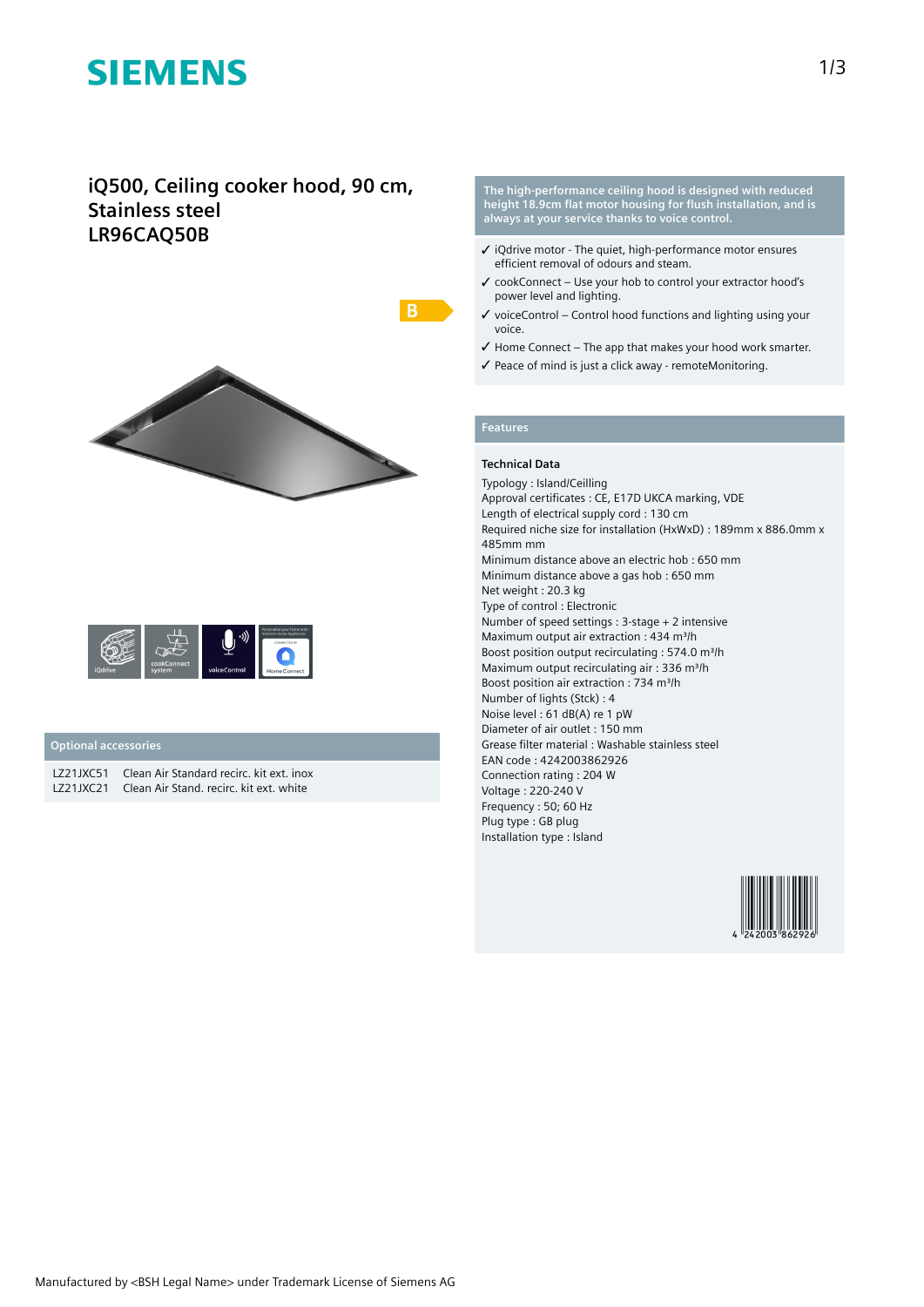# **SIEMENS**

## **iQ500, Ceiling cooker hood, 90 cm, Stainless steel LR96CAQ50B**



|                |                       |              | Personalise your home with<br>Siemens Home Appliances<br>CONNECTED BY |
|----------------|-----------------------|--------------|-----------------------------------------------------------------------|
| <b>iOdrive</b> | cookConnect<br>system | voiceControl | <b>Home Connect</b>                                                   |

### **Optional accessories**

LZ21JXC51 Clean Air Standard recirc. kit ext. inox LZ21JXC21 Clean Air Stand. recirc. kit ext. white

**The high-performance ceiling hood is designed with reduced height 18.9cm flat motor housing for flush installation, and is always at your service thanks to voice control.**

- ✓ iQdrive motor The quiet, high-performance motor ensures efficient removal of odours and steam.
- ✓ cookConnect Use your hob to control your extractor hood's power level and lighting.
- $\checkmark$  voiceControl Control hood functions and lighting using your voice.
- ✓ Home Connect The app that makes your hood work smarter.
- ✓ Peace of mind is just a click away remoteMonitoring.

### **Features**

#### **Technical Data**

Typology : Island/Ceilling Approval certificates : CE, E17D UKCA marking, VDE Length of electrical supply cord : 130 cm Required niche size for installation (HxWxD) : 189mm x 886.0mm x 485mm mm Minimum distance above an electric hob : 650 mm Minimum distance above a gas hob : 650 mm Net weight : 20.3 kg Type of control : Electronic Number of speed settings : 3-stage + 2 intensive Maximum output air extraction : 434 m<sup>3</sup>/h Boost position output recirculating : 574.0 m<sup>3</sup>/h Maximum output recirculating air : 336 m<sup>3</sup>/h Boost position air extraction : 734 m<sup>3</sup>/h Number of lights (Stck) : 4 Noise level : 61 dB(A) re 1 pW Diameter of air outlet : 150 mm Grease filter material : Washable stainless steel EAN code : 4242003862926 Connection rating : 204 W Voltage : 220-240 V Frequency : 50; 60 Hz Plug type : GB plug Installation type : Island

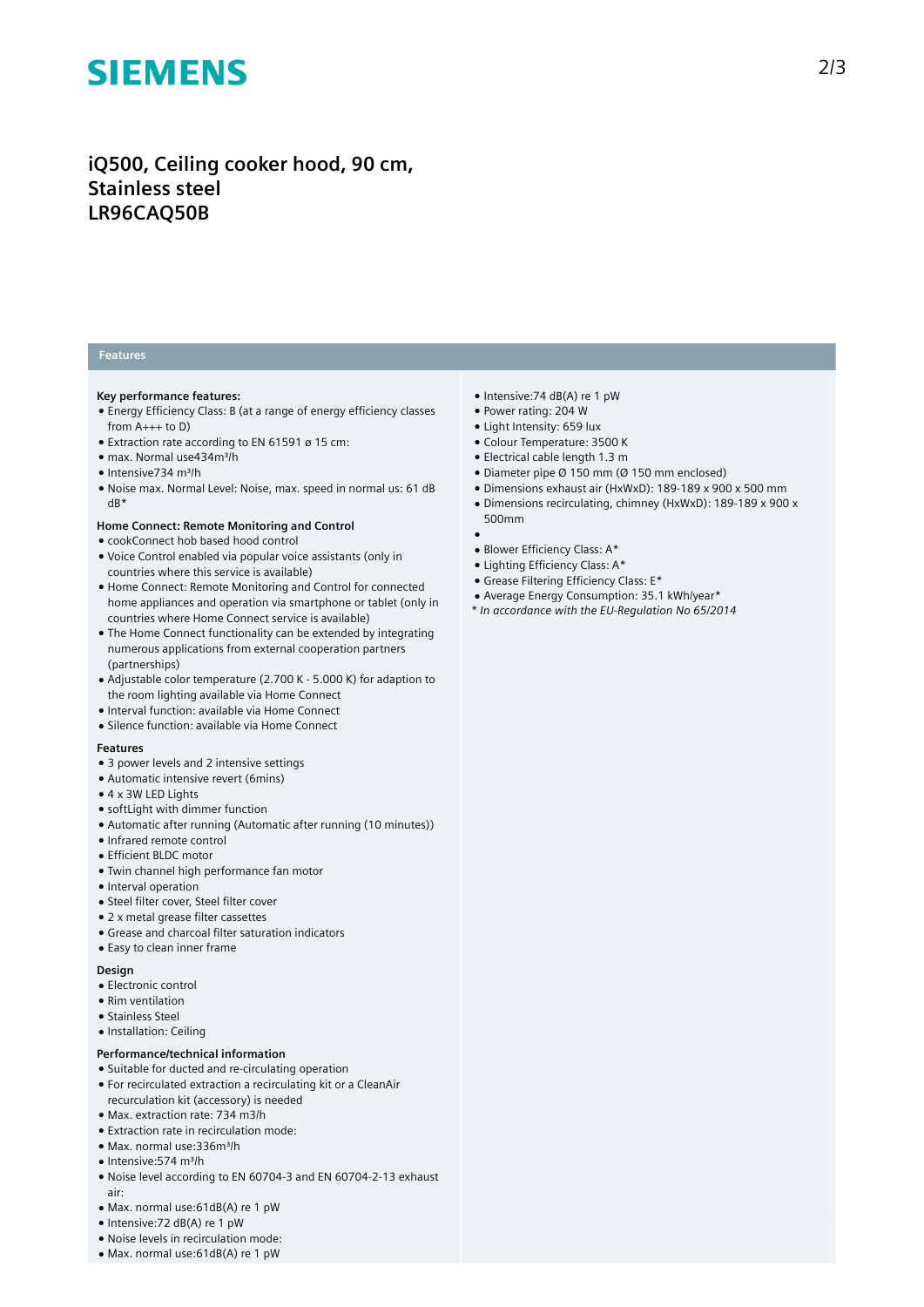# **SIEMENS**

## **iQ500, Ceiling cooker hood, 90 cm, Stainless steel LR96CAQ50B**

### **Features**

#### **Key performance features:**

- Energy Efficiency Class: B (at a range of energy efficiency classes from  $A_{+++}$  to D)
- Extraction rate according to EN 61591 ø 15 cm:
- max. Normal use434m³/h
- Intensive734 m³/h
- Noise max. Normal Level: Noise, max. speed in normal us: 61 dB dB\*

#### **Home Connect: Remote Monitoring and Control**

- cookConnect hob based hood control
- Voice Control enabled via popular voice assistants (only in countries where this service is available)
- Home Connect: Remote Monitoring and Control for connected home appliances and operation via smartphone or tablet (only in countries where Home Connect service is available)
- The Home Connect functionality can be extended by integrating numerous applications from external cooperation partners (partnerships)
- Adjustable color temperature (2.700 K 5.000 K) for adaption to the room lighting available via Home Connect
- Interval function: available via Home Connect
- Silence function: available via Home Connect

#### **Features**

- 3 power levels and 2 intensive settings
- Automatic intensive revert (6mins)
- 4 x 3W LED Lights
- softLight with dimmer function
- Automatic after running (Automatic after running (10 minutes))
- Infrared remote control
- Efficient BLDC motor
- Twin channel high performance fan motor
- Interval operation
- Steel filter cover, Steel filter cover
- 2 x metal grease filter cassettes
- Grease and charcoal filter saturation indicators
- Easy to clean inner frame

#### **Design**

- Electronic control
- Rim ventilation
- Stainless Steel
- Installation: Ceiling

#### **Performance/technical information**

- Suitable for ducted and re-circulating operation
- For recirculated extraction a recirculating kit or a CleanAir recurculation kit (accessory) is needed
- Max. extraction rate: 734 m3/h
- Extraction rate in recirculation mode:
- Max. normal use:336m³/h
- Intensive:574 m³/h
- Noise level according to EN 60704-3 and EN 60704-2-13 exhaust air:
- Max. normal use:61dB(A) re 1 pW
- Intensive:72 dB(A) re 1 pW
- Noise levels in recirculation mode:
- Max. normal use:61dB(A) re 1 pW
- Intensive:74 dB(A) re 1 pW
- Power rating: 204 W
- Light Intensity: 659 lux
- Colour Temperature: 3500 K
- Electrical cable length 1.3 m
- Diameter pipe Ø 150 mm (Ø 150 mm enclosed)
- Dimensions exhaust air (HxWxD): 189-189 x 900 x 500 mm ● Dimensions recirculating, chimney (HxWxD): 189-189 x 900 x
- 500mm  $\bullet$
- Blower Efficiency Class: A\*
- Lighting Efficiency Class: A\*
- Grease Filtering Efficiency Class: E\*
- Average Energy Consumption: 35.1 kWh/year\*
- *\* In accordance with the EU-Regulation No 65/2014*